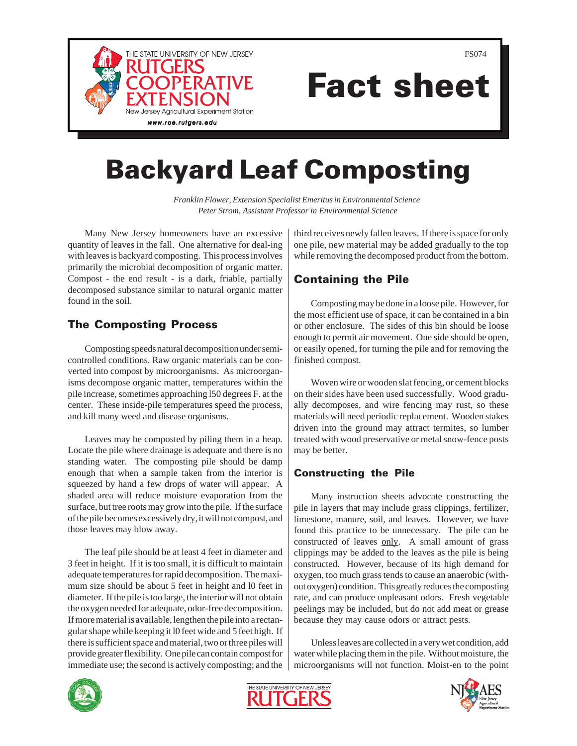

# Fact sheet

## Backyard Leaf Composting

*Franklin Flower, Extension Specialist Emeritus in Environmental Science Peter Strom, Assistant Professor in Environmental Science* 

Many New Jersey homeowners have an excessive quantity of leaves in the fall. One alternative for deal-ing with leaves is backyard composting. This process involves primarily the microbial decomposition of organic matter. Compost - the end result - is a dark, friable, partially decomposed substance similar to natural organic matter found in the soil.

#### The Composting Process

Composting speeds natural decomposition under semicontrolled conditions. Raw organic materials can be converted into compost by microorganisms. As microorganisms decompose organic matter, temperatures within the pile increase, sometimes approaching l50 degrees F. at the center. These inside-pile temperatures speed the process, and kill many weed and disease organisms.

Leaves may be composted by piling them in a heap. Locate the pile where drainage is adequate and there is no standing water. The composting pile should be damp enough that when a sample taken from the interior is squeezed by hand a few drops of water will appear. A shaded area will reduce moisture evaporation from the surface, but tree roots may grow into the pile. If the surface of the pile becomes excessively dry, it will not compost, and those leaves may blow away.

The leaf pile should be at least 4 feet in diameter and 3 feet in height. If it is too small, it is difficult to maintain adequate temperatures for rapid decomposition. The maximum size should be about 5 feet in height and l0 feet in diameter. If the pile is too large, the interior will not obtain the oxygen needed for adequate, odor-free decomposition. If more material is available, lengthen the pile into a rectangular shape while keeping it l0 feet wide and 5 feet high. If there is sufficient space and material, two or three piles will provide greater flexibility. One pile can contain compost for immediate use; the second is actively composting; and the third receives newly fallen leaves. If there is space for only one pile, new material may be added gradually to the top while removing the decomposed product from the bottom.

### Containing the Pile

Composting may be done in a loose pile. However, for the most efficient use of space, it can be contained in a bin or other enclosure. The sides of this bin should be loose enough to permit air movement. One side should be open, or easily opened, for turning the pile and for removing the finished compost.

Woven wire or wooden slat fencing, or cement blocks on their sides have been used successfully. Wood gradually decomposes, and wire fencing may rust, so these materials will need periodic replacement. Wooden stakes driven into the ground may attract termites, so lumber treated with wood preservative or metal snow-fence posts may be better.

#### Constructing the Pile

Many instruction sheets advocate constructing the pile in layers that may include grass clippings, fertilizer, limestone, manure, soil, and leaves. However, we have found this practice to be unnecessary. The pile can be constructed of leaves only. A small amount of grass clippings may be added to the leaves as the pile is being constructed. However, because of its high demand for oxygen, too much grass tends to cause an anaerobic (without oxygen) condition. This greatly reduces the composting rate, and can produce unpleasant odors. Fresh vegetable peelings may be included, but do not add meat or grease because they may cause odors or attract pests.

Unless leaves are collected in a very wet condition, add water while placing them in the pile. Without moisture, the microorganisms will not function. Moist-en to the point